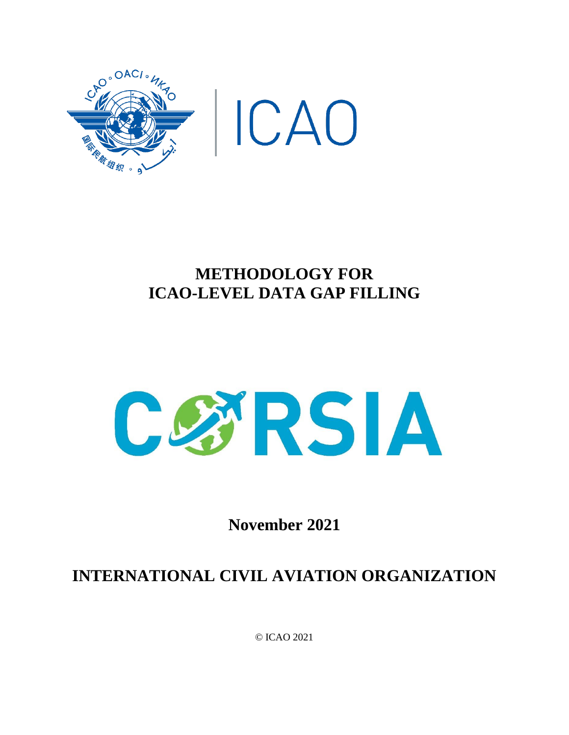



## **METHODOLOGY FOR ICAO-LEVEL DATA GAP FILLING**



**November 2021**

# **INTERNATIONAL CIVIL AVIATION ORGANIZATION**

© ICAO 2021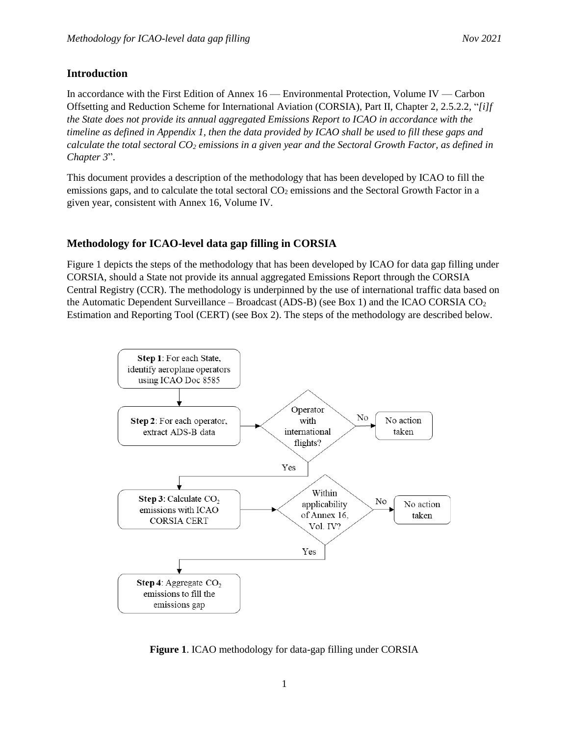#### **Introduction**

In accordance with the First Edition of Annex 16 — Environmental Protection, Volume IV — Carbon Offsetting and Reduction Scheme for International Aviation (CORSIA), Part II, Chapter 2, 2.5.2.2, "*[i]f the State does not provide its annual aggregated Emissions Report to ICAO in accordance with the timeline as defined in Appendix 1, then the data provided by ICAO shall be used to fill these gaps and calculate the total sectoral CO<sup>2</sup> emissions in a given year and the Sectoral Growth Factor, as defined in Chapter 3*".

This document provides a description of the methodology that has been developed by ICAO to fill the emissions gaps, and to calculate the total sectoral CO<sub>2</sub> emissions and the Sectoral Growth Factor in a given year, consistent with Annex 16, Volume IV.

#### **Methodology for ICAO-level data gap filling in CORSIA**

Figure 1 depicts the steps of the methodology that has been developed by ICAO for data gap filling under CORSIA, should a State not provide its annual aggregated Emissions Report through the CORSIA Central Registry (CCR). The methodology is underpinned by the use of international traffic data based on the Automatic Dependent Surveillance – Broadcast (ADS-B) (see Box 1) and the ICAO CORSIA  $CO<sub>2</sub>$ Estimation and Reporting Tool (CERT) (see Box 2). The steps of the methodology are described below.



**Figure 1**. ICAO methodology for data-gap filling under CORSIA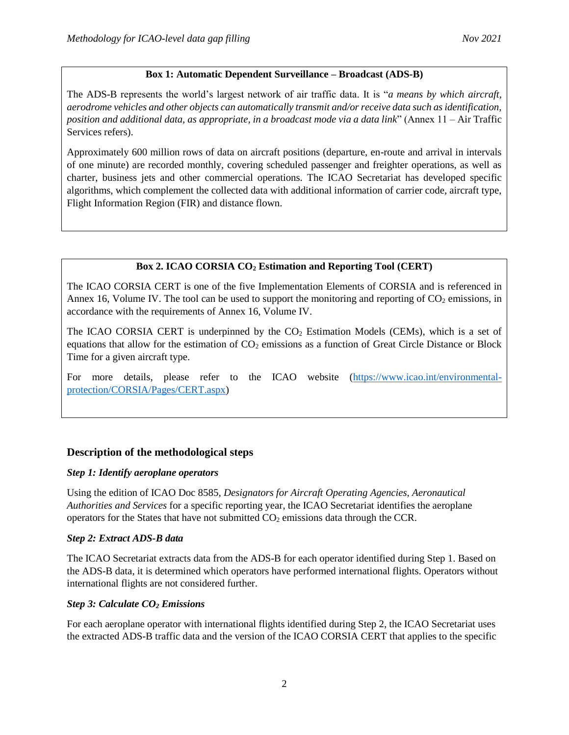### **Box 1: Automatic Dependent Surveillance – Broadcast (ADS-B)**

The ADS-B represents the world's largest network of air traffic data. It is "*a means by which aircraft, aerodrome vehicles and other objects can automatically transmit and/or receive data such as identification, position and additional data, as appropriate, in a broadcast mode via a data link*" (Annex 11 – Air Traffic Services refers).

Approximately 600 million rows of data on aircraft positions (departure, en-route and arrival in intervals of one minute) are recorded monthly, covering scheduled passenger and freighter operations, as well as charter, business jets and other commercial operations. The ICAO Secretariat has developed specific algorithms, which complement the collected data with additional information of carrier code, aircraft type, Flight Information Region (FIR) and distance flown.

## **Box 2. ICAO CORSIA CO<sup>2</sup> Estimation and Reporting Tool (CERT)**

The ICAO CORSIA CERT is one of the five Implementation Elements of CORSIA and is referenced in Annex 16, Volume IV. The tool can be used to support the monitoring and reporting of  $CO<sub>2</sub>$  emissions, in accordance with the requirements of Annex 16, Volume IV.

The ICAO CORSIA CERT is underpinned by the  $CO<sub>2</sub>$  Estimation Models (CEMs), which is a set of equations that allow for the estimation of  $CO<sub>2</sub>$  emissions as a function of Great Circle Distance or Block Time for a given aircraft type.

For more details, please refer to the ICAO website [\(https://www.icao.int/environmental](https://www.icao.int/environmental-protection/CORSIA/Pages/CERT.aspx)[protection/CORSIA/Pages/CERT.aspx\)](https://www.icao.int/environmental-protection/CORSIA/Pages/CERT.aspx)

## **Description of the methodological steps**

#### *Step 1: Identify aeroplane operators*

Using the edition of ICAO Doc 8585, *Designators for Aircraft Operating Agencies, Aeronautical Authorities and Services* for a specific reporting year, the ICAO Secretariat identifies the aeroplane operators for the States that have not submitted  $CO<sub>2</sub>$  emissions data through the CCR.

#### *Step 2: Extract ADS-B data*

The ICAO Secretariat extracts data from the ADS-B for each operator identified during Step 1. Based on the ADS-B data, it is determined which operators have performed international flights. Operators without international flights are not considered further.

#### *Step 3: Calculate CO<sup>2</sup> Emissions*

For each aeroplane operator with international flights identified during Step 2, the ICAO Secretariat uses the extracted ADS-B traffic data and the version of the ICAO CORSIA CERT that applies to the specific